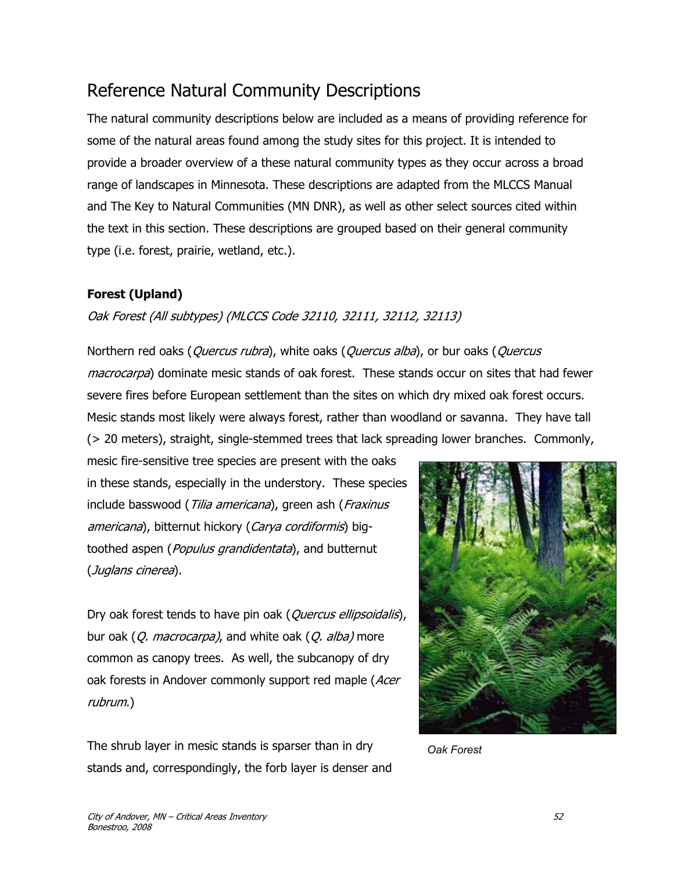# Reference Natural Community Descriptions

The natural community descriptions below are included as a means of providing reference for some of the natural areas found among the study sites for this project. It is intended to provide a broader overview of a these natural community types as they occur across a broad range of landscapes in Minnesota. These descriptions are adapted from the MLCCS Manual and The Key to Natural Communities (MN DNR), as well as other select sources cited within the text in this section. These descriptions are grouped based on their general community type (i.e. forest, prairie, wetland, etc.).

### **Forest (Upland)**

### Oak Forest (All subtypes) (MLCCS Code 32110, 32111, 32112, 32113)

Northern red oaks (*Quercus rubra*), white oaks (*Quercus alba*), or bur oaks (*Quercus* macrocarpa) dominate mesic stands of oak forest. These stands occur on sites that had fewer severe fires before European settlement than the sites on which dry mixed oak forest occurs. Mesic stands most likely were always forest, rather than woodland or savanna. They have tall (> 20 meters), straight, single-stemmed trees that lack spreading lower branches. Commonly,

mesic fire-sensitive tree species are present with the oaks in these stands, especially in the understory. These species include basswood (Tilia americana), green ash (Fraxinus americana), bitternut hickory (Carya cordiformis) bigtoothed aspen (*Populus grandidentata*), and butternut (Juglans cinerea).

Dry oak forest tends to have pin oak (*Quercus ellipsoidalis*), bur oak (Q. macrocarpa), and white oak (Q. alba) more common as canopy trees. As well, the subcanopy of dry oak forests in Andover commonly support red maple (Acer rubrum.)

The shrub layer in mesic stands is sparser than in dry stands and, correspondingly, the forb layer is denser and



*Oak Forest*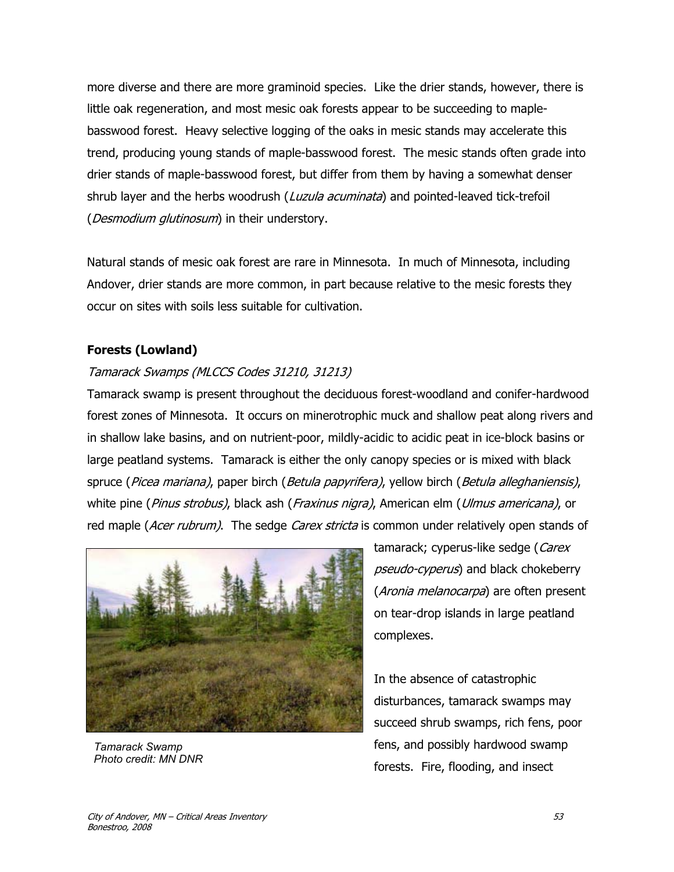more diverse and there are more graminoid species. Like the drier stands, however, there is little oak regeneration, and most mesic oak forests appear to be succeeding to maplebasswood forest. Heavy selective logging of the oaks in mesic stands may accelerate this trend, producing young stands of maple-basswood forest. The mesic stands often grade into drier stands of maple-basswood forest, but differ from them by having a somewhat denser shrub layer and the herbs woodrush (*Luzula acuminata*) and pointed-leaved tick-trefoil (*Desmodium glutinosum*) in their understory.

Natural stands of mesic oak forest are rare in Minnesota. In much of Minnesota, including Andover, drier stands are more common, in part because relative to the mesic forests they occur on sites with soils less suitable for cultivation.

### **Forests (Lowland)**

### Tamarack Swamps (MLCCS Codes 31210, 31213)

Tamarack swamp is present throughout the deciduous forest-woodland and conifer-hardwood forest zones of Minnesota. It occurs on minerotrophic muck and shallow peat along rivers and in shallow lake basins, and on nutrient-poor, mildly-acidic to acidic peat in ice-block basins or large peatland systems. Tamarack is either the only canopy species or is mixed with black spruce (Picea mariana), paper birch (Betula papyrifera), yellow birch (Betula alleghaniensis), white pine (*Pinus strobus)*, black ash (*Fraxinus nigra*), American elm (*Ulmus americana*), or red maple (Acer rubrum). The sedge Carex stricta is common under relatively open stands of



*Tamarack Swamp Photo credit: MN DNR* 

tamarack; cyperus-like sedge (Carex pseudo-cyperus) and black chokeberry (Aronia melanocarpa) are often present on tear-drop islands in large peatland complexes.

In the absence of catastrophic disturbances, tamarack swamps may succeed shrub swamps, rich fens, poor fens, and possibly hardwood swamp forests. Fire, flooding, and insect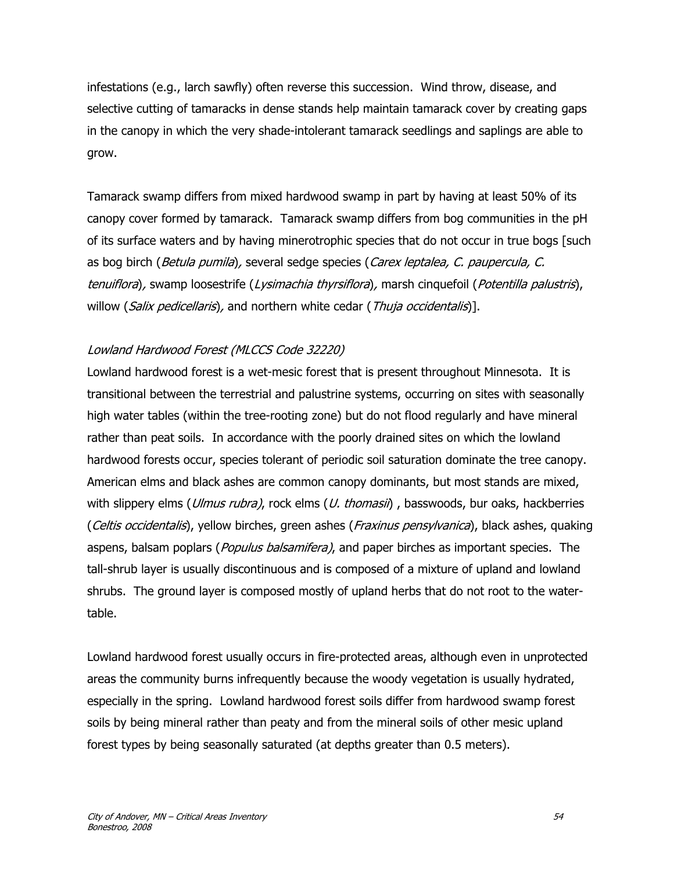infestations (e.g., larch sawfly) often reverse this succession. Wind throw, disease, and selective cutting of tamaracks in dense stands help maintain tamarack cover by creating gaps in the canopy in which the very shade-intolerant tamarack seedlings and saplings are able to grow.

Tamarack swamp differs from mixed hardwood swamp in part by having at least 50% of its canopy cover formed by tamarack. Tamarack swamp differs from bog communities in the pH of its surface waters and by having minerotrophic species that do not occur in true bogs [such as bog birch (Betula pumila), several sedge species (Carex leptalea, C. paupercula, C. tenuiflora), swamp loosestrife (Lysimachia thyrsiflora), marsh cinquefoil (Potentilla palustris), willow (Salix pedicellaris), and northern white cedar (Thuja occidentalis)].

### Lowland Hardwood Forest (MLCCS Code 32220)

Lowland hardwood forest is a wet-mesic forest that is present throughout Minnesota. It is transitional between the terrestrial and palustrine systems, occurring on sites with seasonally high water tables (within the tree-rooting zone) but do not flood regularly and have mineral rather than peat soils. In accordance with the poorly drained sites on which the lowland hardwood forests occur, species tolerant of periodic soil saturation dominate the tree canopy. American elms and black ashes are common canopy dominants, but most stands are mixed, with slippery elms (*Ulmus rubra*), rock elms (*U. thomasii*), basswoods, bur oaks, hackberries (Celtis occidentalis), yellow birches, green ashes (Fraxinus pensylvanica), black ashes, quaking aspens, balsam poplars (*Populus balsamifera*), and paper birches as important species. The tall-shrub layer is usually discontinuous and is composed of a mixture of upland and lowland shrubs. The ground layer is composed mostly of upland herbs that do not root to the watertable.

Lowland hardwood forest usually occurs in fire-protected areas, although even in unprotected areas the community burns infrequently because the woody vegetation is usually hydrated, especially in the spring. Lowland hardwood forest soils differ from hardwood swamp forest soils by being mineral rather than peaty and from the mineral soils of other mesic upland forest types by being seasonally saturated (at depths greater than 0.5 meters).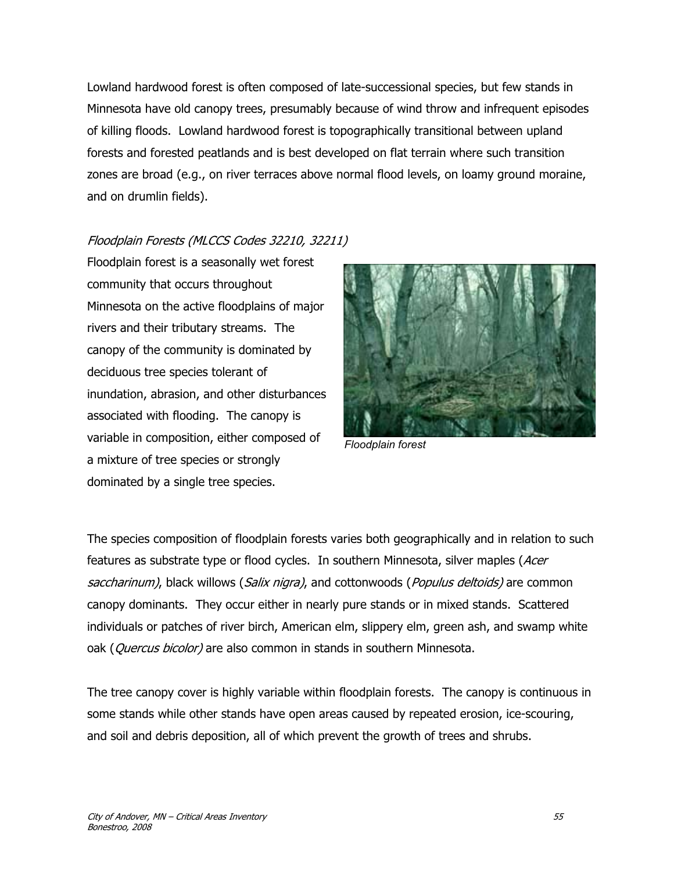Lowland hardwood forest is often composed of late-successional species, but few stands in Minnesota have old canopy trees, presumably because of wind throw and infrequent episodes of killing floods. Lowland hardwood forest is topographically transitional between upland forests and forested peatlands and is best developed on flat terrain where such transition zones are broad (e.g., on river terraces above normal flood levels, on loamy ground moraine, and on drumlin fields).

Floodplain Forests (MLCCS Codes 32210, 32211)

Floodplain forest is a seasonally wet forest community that occurs throughout Minnesota on the active floodplains of major rivers and their tributary streams. The canopy of the community is dominated by deciduous tree species tolerant of inundation, abrasion, and other disturbances associated with flooding. The canopy is variable in composition, either composed of a mixture of tree species or strongly dominated by a single tree species.



*Floodplain forest* 

The species composition of floodplain forests varies both geographically and in relation to such features as substrate type or flood cycles. In southern Minnesota, silver maples (Acer saccharinum), black willows (Salix nigra), and cottonwoods (Populus deltoids) are common canopy dominants. They occur either in nearly pure stands or in mixed stands. Scattered individuals or patches of river birch, American elm, slippery elm, green ash, and swamp white oak (Quercus bicolor) are also common in stands in southern Minnesota.

The tree canopy cover is highly variable within floodplain forests. The canopy is continuous in some stands while other stands have open areas caused by repeated erosion, ice-scouring, and soil and debris deposition, all of which prevent the growth of trees and shrubs.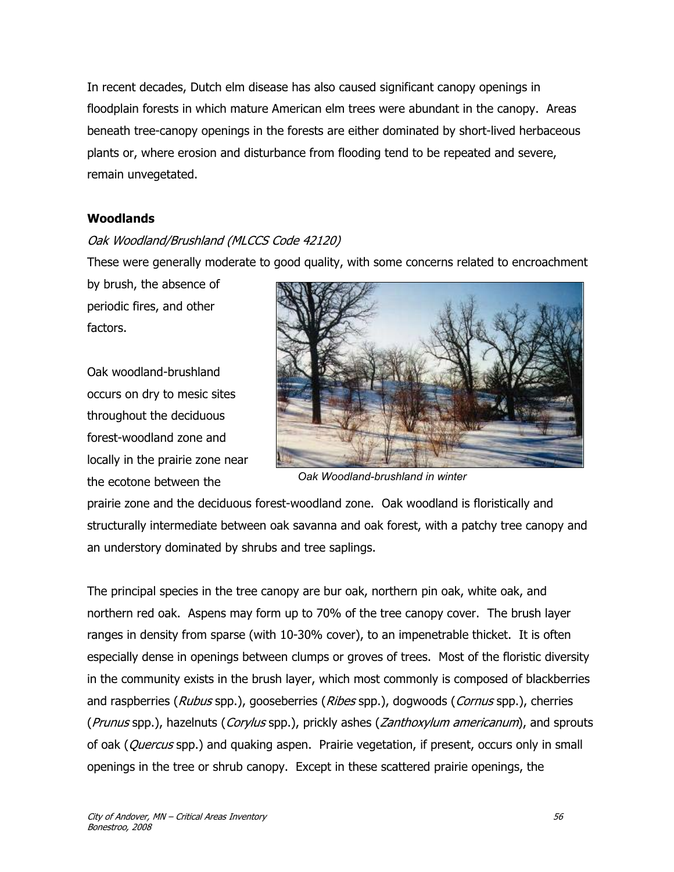In recent decades, Dutch elm disease has also caused significant canopy openings in floodplain forests in which mature American elm trees were abundant in the canopy. Areas beneath tree-canopy openings in the forests are either dominated by short-lived herbaceous plants or, where erosion and disturbance from flooding tend to be repeated and severe, remain unvegetated.

#### **Woodlands**

### Oak Woodland/Brushland (MLCCS Code 42120)

These were generally moderate to good quality, with some concerns related to encroachment

by brush, the absence of periodic fires, and other factors.

Oak woodland-brushland occurs on dry to mesic sites throughout the deciduous forest-woodland zone and locally in the prairie zone near the ecotone between the



 *Oak Woodland-brushland in winter*

prairie zone and the deciduous forest-woodland zone. Oak woodland is floristically and structurally intermediate between oak savanna and oak forest, with a patchy tree canopy and an understory dominated by shrubs and tree saplings.

The principal species in the tree canopy are bur oak, northern pin oak, white oak, and northern red oak. Aspens may form up to 70% of the tree canopy cover. The brush layer ranges in density from sparse (with 10-30% cover), to an impenetrable thicket. It is often especially dense in openings between clumps or groves of trees. Most of the floristic diversity in the community exists in the brush layer, which most commonly is composed of blackberries and raspberries (Rubus spp.), gooseberries (Ribes spp.), dogwoods (Cornus spp.), cherries (Prunus spp.), hazelnuts (Corylus spp.), prickly ashes (Zanthoxylum americanum), and sprouts of oak (*Quercus* spp.) and quaking aspen. Prairie vegetation, if present, occurs only in small openings in the tree or shrub canopy. Except in these scattered prairie openings, the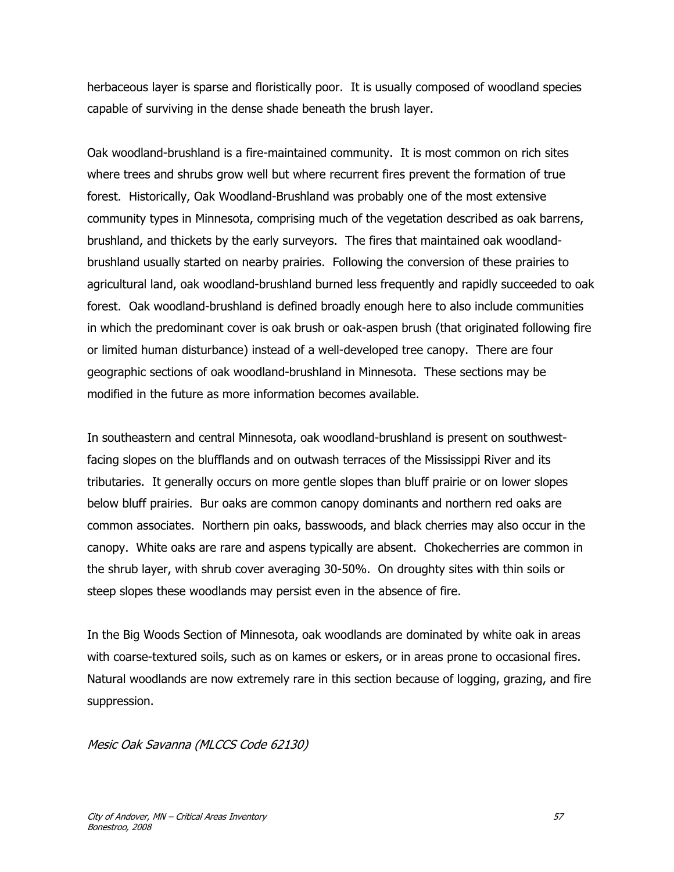herbaceous layer is sparse and floristically poor. It is usually composed of woodland species capable of surviving in the dense shade beneath the brush layer.

Oak woodland-brushland is a fire-maintained community. It is most common on rich sites where trees and shrubs grow well but where recurrent fires prevent the formation of true forest. Historically, Oak Woodland-Brushland was probably one of the most extensive community types in Minnesota, comprising much of the vegetation described as oak barrens, brushland, and thickets by the early surveyors. The fires that maintained oak woodlandbrushland usually started on nearby prairies. Following the conversion of these prairies to agricultural land, oak woodland-brushland burned less frequently and rapidly succeeded to oak forest. Oak woodland-brushland is defined broadly enough here to also include communities in which the predominant cover is oak brush or oak-aspen brush (that originated following fire or limited human disturbance) instead of a well-developed tree canopy. There are four geographic sections of oak woodland-brushland in Minnesota. These sections may be modified in the future as more information becomes available.

In southeastern and central Minnesota, oak woodland-brushland is present on southwestfacing slopes on the blufflands and on outwash terraces of the Mississippi River and its tributaries. It generally occurs on more gentle slopes than bluff prairie or on lower slopes below bluff prairies. Bur oaks are common canopy dominants and northern red oaks are common associates. Northern pin oaks, basswoods, and black cherries may also occur in the canopy. White oaks are rare and aspens typically are absent. Chokecherries are common in the shrub layer, with shrub cover averaging 30-50%. On droughty sites with thin soils or steep slopes these woodlands may persist even in the absence of fire.

In the Big Woods Section of Minnesota, oak woodlands are dominated by white oak in areas with coarse-textured soils, such as on kames or eskers, or in areas prone to occasional fires. Natural woodlands are now extremely rare in this section because of logging, grazing, and fire suppression.

Mesic Oak Savanna (MLCCS Code 62130)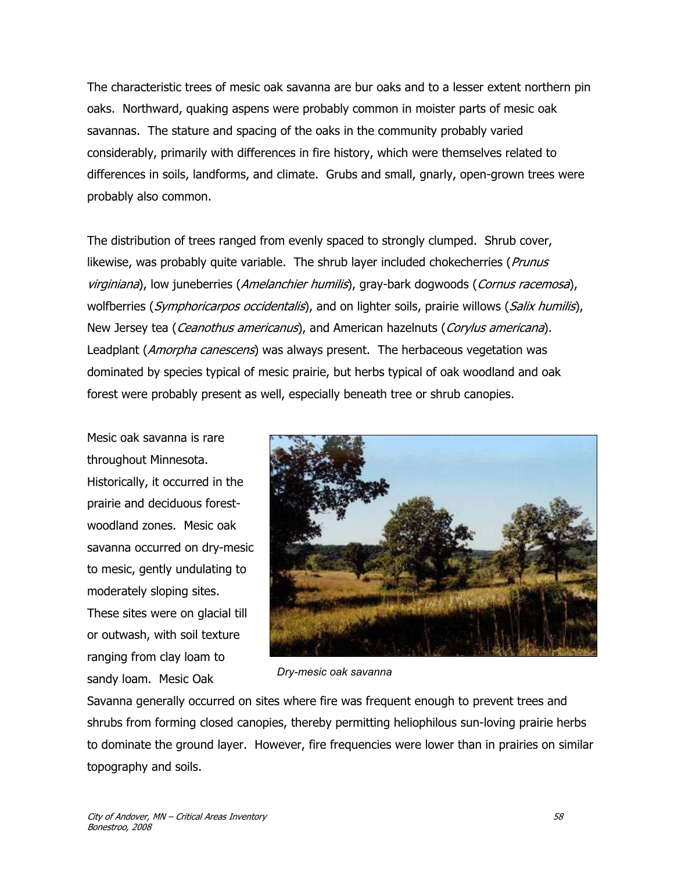The characteristic trees of mesic oak savanna are bur oaks and to a lesser extent northern pin oaks. Northward, quaking aspens were probably common in moister parts of mesic oak savannas. The stature and spacing of the oaks in the community probably varied considerably, primarily with differences in fire history, which were themselves related to differences in soils, landforms, and climate. Grubs and small, gnarly, open-grown trees were probably also common.

The distribution of trees ranged from evenly spaced to strongly clumped. Shrub cover, likewise, was probably quite variable. The shrub layer included chokecherries (Prunus virginiana), low juneberries (Amelanchier humilis), gray-bark dogwoods (Cornus racemosa), wolfberries (Symphoricarpos occidentalis), and on lighter soils, prairie willows (Salix humilis), New Jersey tea (*Ceanothus americanus*), and American hazelnuts (*Corylus americana*). Leadplant (*Amorpha canescens*) was always present. The herbaceous vegetation was dominated by species typical of mesic prairie, but herbs typical of oak woodland and oak forest were probably present as well, especially beneath tree or shrub canopies.

Mesic oak savanna is rare throughout Minnesota. Historically, it occurred in the prairie and deciduous forestwoodland zones. Mesic oak savanna occurred on dry-mesic to mesic, gently undulating to moderately sloping sites.

These sites were on glacial till or outwash, with soil texture ranging from clay loam to sandy loam. Mesic Oak



*Dry-mesic oak savanna* 

Savanna generally occurred on sites where fire was frequent enough to prevent trees and shrubs from forming closed canopies, thereby permitting heliophilous sun-loving prairie herbs to dominate the ground layer. However, fire frequencies were lower than in prairies on similar topography and soils.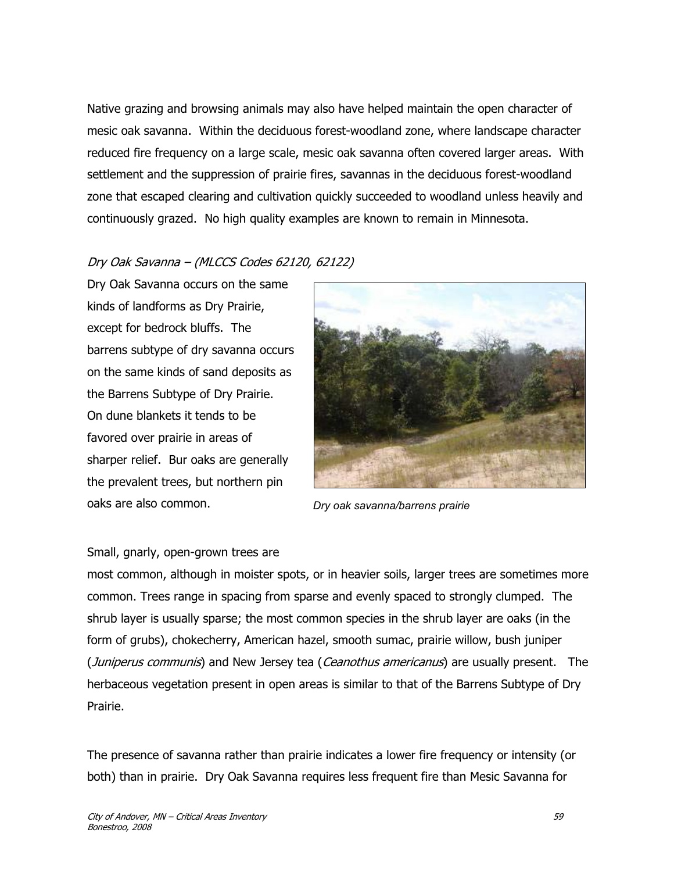Native grazing and browsing animals may also have helped maintain the open character of mesic oak savanna. Within the deciduous forest-woodland zone, where landscape character reduced fire frequency on a large scale, mesic oak savanna often covered larger areas. With settlement and the suppression of prairie fires, savannas in the deciduous forest-woodland zone that escaped clearing and cultivation quickly succeeded to woodland unless heavily and continuously grazed. No high quality examples are known to remain in Minnesota.

### Dry Oak Savanna – (MLCCS Codes 62120, 62122)

Dry Oak Savanna occurs on the same kinds of landforms as Dry Prairie, except for bedrock bluffs. The barrens subtype of dry savanna occurs on the same kinds of sand deposits as the Barrens Subtype of Dry Prairie. On dune blankets it tends to be favored over prairie in areas of sharper relief. Bur oaks are generally the prevalent trees, but northern pin oaks are also common.



*Dry oak savanna/barrens prairie* 

#### Small, gnarly, open-grown trees are

most common, although in moister spots, or in heavier soils, larger trees are sometimes more common. Trees range in spacing from sparse and evenly spaced to strongly clumped. The shrub layer is usually sparse; the most common species in the shrub layer are oaks (in the form of grubs), chokecherry, American hazel, smooth sumac, prairie willow, bush juniper (Juniperus communis) and New Jersey tea (Ceanothus americanus) are usually present. The herbaceous vegetation present in open areas is similar to that of the Barrens Subtype of Dry Prairie.

The presence of savanna rather than prairie indicates a lower fire frequency or intensity (or both) than in prairie. Dry Oak Savanna requires less frequent fire than Mesic Savanna for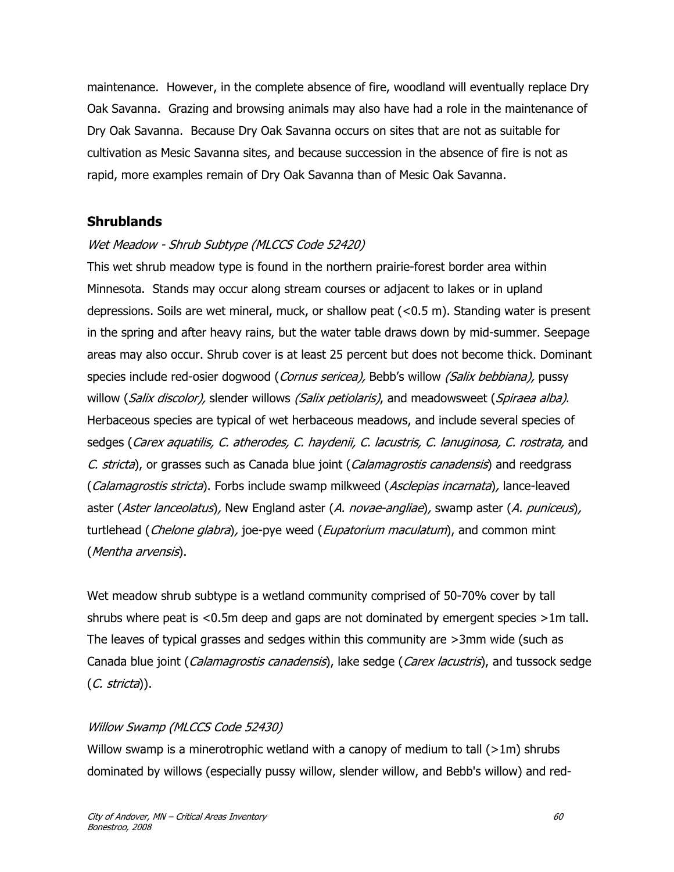maintenance. However, in the complete absence of fire, woodland will eventually replace Dry Oak Savanna. Grazing and browsing animals may also have had a role in the maintenance of Dry Oak Savanna. Because Dry Oak Savanna occurs on sites that are not as suitable for cultivation as Mesic Savanna sites, and because succession in the absence of fire is not as rapid, more examples remain of Dry Oak Savanna than of Mesic Oak Savanna.

### **Shrublands**

### Wet Meadow - Shrub Subtype (MLCCS Code 52420)

This wet shrub meadow type is found in the northern prairie-forest border area within Minnesota. Stands may occur along stream courses or adjacent to lakes or in upland depressions. Soils are wet mineral, muck, or shallow peat (<0.5 m). Standing water is present in the spring and after heavy rains, but the water table draws down by mid-summer. Seepage areas may also occur. Shrub cover is at least 25 percent but does not become thick. Dominant species include red-osier dogwood (*Cornus sericea*), Bebb's willow *(Salix bebbiana)*, pussy willow (*Salix discolor)*, slender willows *(Salix petiolaris)*, and meadowsweet (*Spiraea alba*). Herbaceous species are typical of wet herbaceous meadows, and include several species of sedges (Carex aquatilis, C. atherodes, C. haydenii, C. lacustris, C. lanuginosa, C. rostrata, and C. stricta), or grasses such as Canada blue joint (Calamagrostis canadensis) and reedgrass (Calamagrostis stricta). Forbs include swamp milkweed (Asclepias incarnata), lance-leaved aster (Aster lanceolatus), New England aster (A. novae-angliae), swamp aster (A. puniceus), turtlehead (*Chelone glabra*), joe-pye weed (*Eupatorium maculatum*), and common mint (Mentha arvensis).

Wet meadow shrub subtype is a wetland community comprised of 50-70% cover by tall shrubs where peat is <0.5m deep and gaps are not dominated by emergent species >1m tall. The leaves of typical grasses and sedges within this community are >3mm wide (such as Canada blue joint (*Calamagrostis canadensis*), lake sedge (*Carex lacustris*), and tussock sedge (C. stricta)).

### Willow Swamp (MLCCS Code 52430)

Willow swamp is a minerotrophic wetland with a canopy of medium to tall  $(>1m)$  shrubs dominated by willows (especially pussy willow, slender willow, and Bebb's willow) and red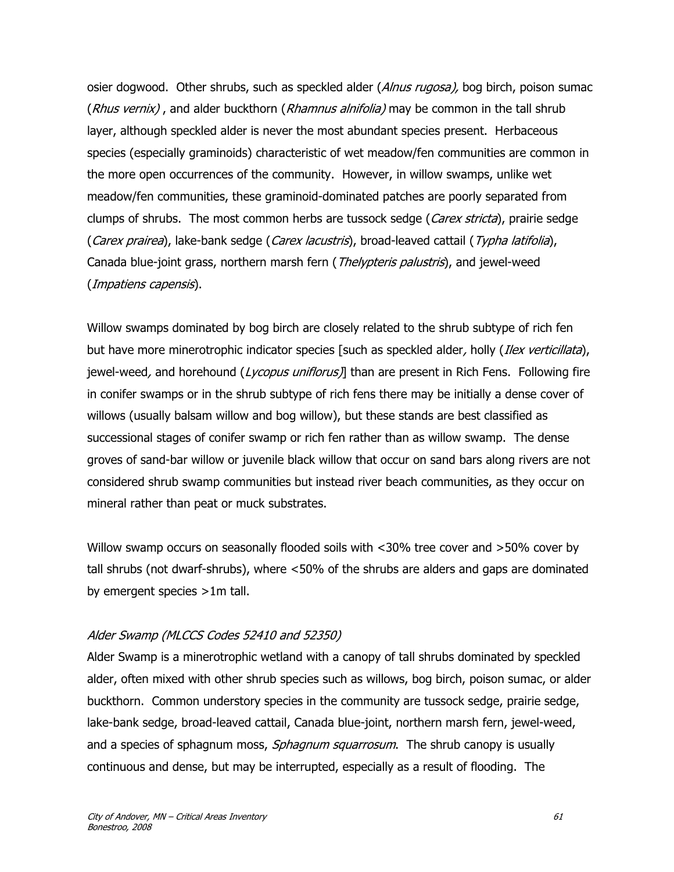osier dogwood. Other shrubs, such as speckled alder (Alnus rugosa), bog birch, poison sumac (Rhus vernix), and alder buckthorn (Rhamnus alnifolia) may be common in the tall shrub layer, although speckled alder is never the most abundant species present. Herbaceous species (especially graminoids) characteristic of wet meadow/fen communities are common in the more open occurrences of the community. However, in willow swamps, unlike wet meadow/fen communities, these graminoid-dominated patches are poorly separated from clumps of shrubs. The most common herbs are tussock sedge (*Carex stricta*), prairie sedge (Carex prairea), lake-bank sedge (Carex lacustris), broad-leaved cattail (Typha latifolia), Canada blue-joint grass, northern marsh fern (*Thelypteris palustris*), and jewel-weed (Impatiens capensis).

Willow swamps dominated by bog birch are closely related to the shrub subtype of rich fen but have more minerotrophic indicator species [such as speckled alder, holly *(Ilex verticillata*), jewel-weed, and horehound  $(Lycopus uniflorus)$ ] than are present in Rich Fens. Following fire in conifer swamps or in the shrub subtype of rich fens there may be initially a dense cover of willows (usually balsam willow and bog willow), but these stands are best classified as successional stages of conifer swamp or rich fen rather than as willow swamp. The dense groves of sand-bar willow or juvenile black willow that occur on sand bars along rivers are not considered shrub swamp communities but instead river beach communities, as they occur on mineral rather than peat or muck substrates.

Willow swamp occurs on seasonally flooded soils with <30% tree cover and >50% cover by tall shrubs (not dwarf-shrubs), where <50% of the shrubs are alders and gaps are dominated by emergent species >1m tall.

### Alder Swamp (MLCCS Codes 52410 and 52350)

Alder Swamp is a minerotrophic wetland with a canopy of tall shrubs dominated by speckled alder, often mixed with other shrub species such as willows, bog birch, poison sumac, or alder buckthorn. Common understory species in the community are tussock sedge, prairie sedge, lake-bank sedge, broad-leaved cattail, Canada blue-joint, northern marsh fern, jewel-weed, and a species of sphagnum moss, Sphagnum squarrosum. The shrub canopy is usually continuous and dense, but may be interrupted, especially as a result of flooding. The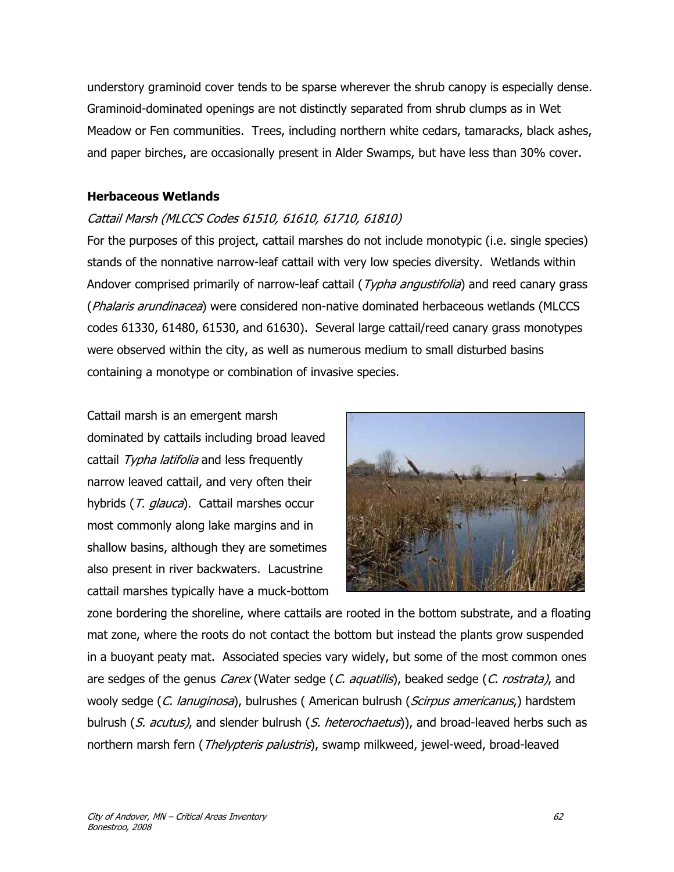understory graminoid cover tends to be sparse wherever the shrub canopy is especially dense. Graminoid-dominated openings are not distinctly separated from shrub clumps as in Wet Meadow or Fen communities. Trees, including northern white cedars, tamaracks, black ashes, and paper birches, are occasionally present in Alder Swamps, but have less than 30% cover.

### **Herbaceous Wetlands**

### Cattail Marsh (MLCCS Codes 61510, 61610, 61710, 61810)

For the purposes of this project, cattail marshes do not include monotypic (i.e. single species) stands of the nonnative narrow-leaf cattail with very low species diversity. Wetlands within Andover comprised primarily of narrow-leaf cattail (*Typha angustifolia*) and reed canary grass (Phalaris arundinacea) were considered non-native dominated herbaceous wetlands (MLCCS codes 61330, 61480, 61530, and 61630). Several large cattail/reed canary grass monotypes were observed within the city, as well as numerous medium to small disturbed basins containing a monotype or combination of invasive species.

Cattail marsh is an emergent marsh dominated by cattails including broad leaved cattail Typha latifolia and less frequently narrow leaved cattail, and very often their hybrids (T. glauca). Cattail marshes occur most commonly along lake margins and in shallow basins, although they are sometimes also present in river backwaters. Lacustrine cattail marshes typically have a muck-bottom



zone bordering the shoreline, where cattails are rooted in the bottom substrate, and a floating mat zone, where the roots do not contact the bottom but instead the plants grow suspended in a buoyant peaty mat. Associated species vary widely, but some of the most common ones are sedges of the genus Carex (Water sedge (C. aquatilis), beaked sedge (C. rostrata), and wooly sedge (C. lanuginosa), bulrushes (American bulrush (Scirpus americanus,) hardstem bulrush (S. acutus), and slender bulrush (S. heterochaetus)), and broad-leaved herbs such as northern marsh fern (*Thelypteris palustris*), swamp milkweed, jewel-weed, broad-leaved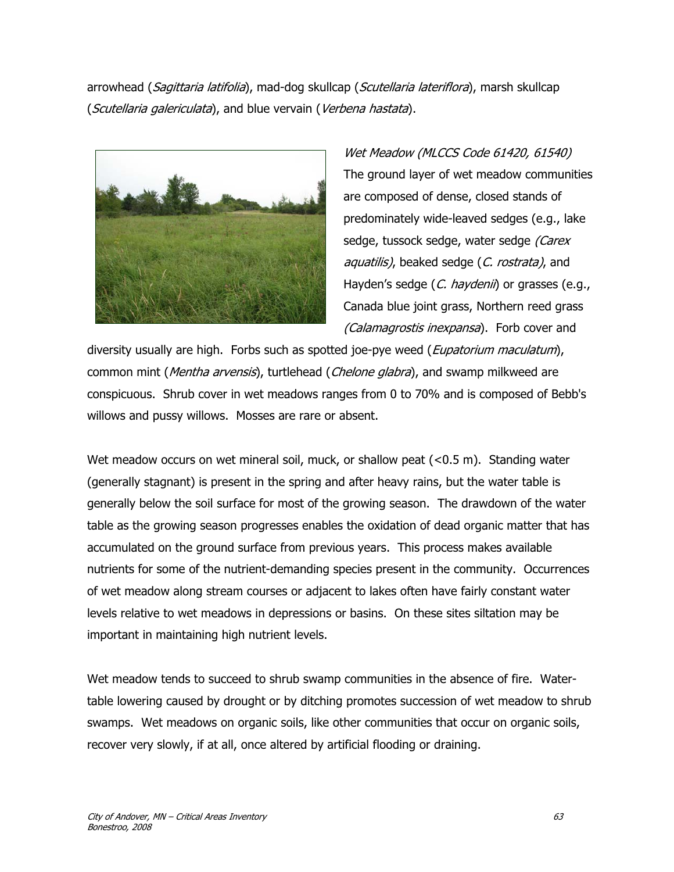arrowhead (*Sagittaria latifolia*), mad-dog skullcap (*Scutellaria lateriflora*), marsh skullcap (Scutellaria galericulata), and blue vervain (Verbena hastata).



Wet Meadow (MLCCS Code 61420, 61540) The ground layer of wet meadow communities are composed of dense, closed stands of predominately wide-leaved sedges (e.g., lake sedge, tussock sedge, water sedge (Carex aquatilis), beaked sedge (C. rostrata), and Hayden's sedge (C. haydenii) or grasses (e.g., Canada blue joint grass, Northern reed grass (Calamagrostis inexpansa). Forb cover and

diversity usually are high. Forbs such as spotted joe-pye weed (Eupatorium maculatum), common mint (Mentha arvensis), turtlehead (Chelone glabra), and swamp milkweed are conspicuous. Shrub cover in wet meadows ranges from 0 to 70% and is composed of Bebb's willows and pussy willows. Mosses are rare or absent.

Wet meadow occurs on wet mineral soil, muck, or shallow peat (<0.5 m). Standing water (generally stagnant) is present in the spring and after heavy rains, but the water table is generally below the soil surface for most of the growing season. The drawdown of the water table as the growing season progresses enables the oxidation of dead organic matter that has accumulated on the ground surface from previous years. This process makes available nutrients for some of the nutrient-demanding species present in the community. Occurrences of wet meadow along stream courses or adjacent to lakes often have fairly constant water levels relative to wet meadows in depressions or basins. On these sites siltation may be important in maintaining high nutrient levels.

Wet meadow tends to succeed to shrub swamp communities in the absence of fire. Watertable lowering caused by drought or by ditching promotes succession of wet meadow to shrub swamps. Wet meadows on organic soils, like other communities that occur on organic soils, recover very slowly, if at all, once altered by artificial flooding or draining.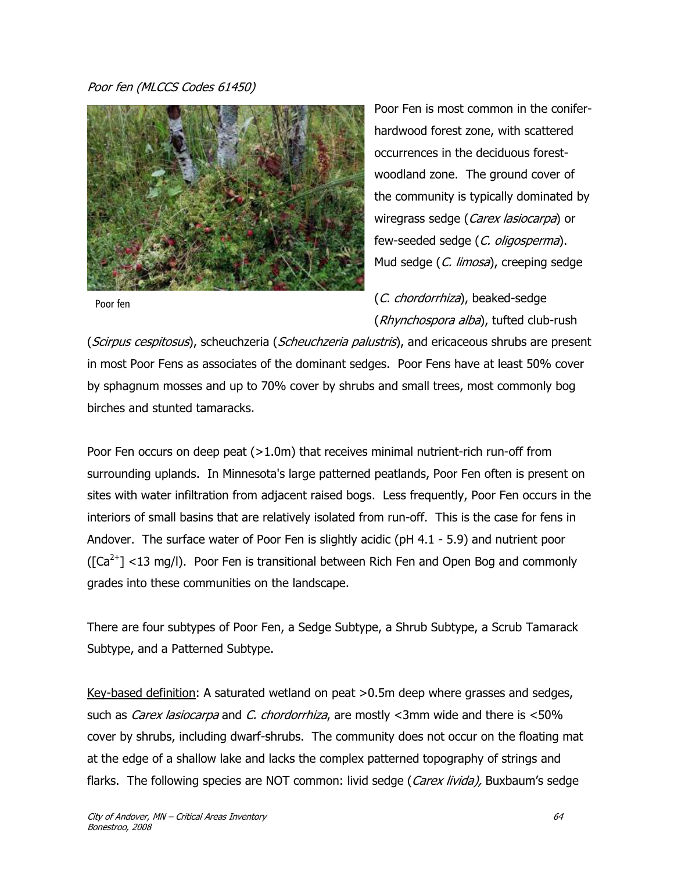### Poor fen (MLCCS Codes 61450)



Poor fen

Poor Fen is most common in the coniferhardwood forest zone, with scattered occurrences in the deciduous forestwoodland zone. The ground cover of the community is typically dominated by wiregrass sedge (Carex lasiocarpa) or few-seeded sedge (C. oligosperma). Mud sedge (C. limosa), creeping sedge

(C. chordorrhiza), beaked-sedge (Rhynchospora alba), tufted club-rush

(Scirpus cespitosus), scheuchzeria (Scheuchzeria palustris), and ericaceous shrubs are present in most Poor Fens as associates of the dominant sedges. Poor Fens have at least 50% cover by sphagnum mosses and up to 70% cover by shrubs and small trees, most commonly bog birches and stunted tamaracks.

Poor Fen occurs on deep peat (>1.0m) that receives minimal nutrient-rich run-off from surrounding uplands. In Minnesota's large patterned peatlands, Poor Fen often is present on sites with water infiltration from adjacent raised bogs. Less frequently, Poor Fen occurs in the interiors of small basins that are relatively isolated from run-off. This is the case for fens in Andover. The surface water of Poor Fen is slightly acidic (pH 4.1 - 5.9) and nutrient poor  $(\lceil Ca^{2+} \rceil < 13 \text{ mg/l})$ . Poor Fen is transitional between Rich Fen and Open Bog and commonly grades into these communities on the landscape.

There are four subtypes of Poor Fen, a Sedge Subtype, a Shrub Subtype, a Scrub Tamarack Subtype, and a Patterned Subtype.

Key-based definition: A saturated wetland on peat >0.5m deep where grasses and sedges, such as *Carex lasiocarpa* and *C. chordorrhiza*, are mostly <3mm wide and there is <50% cover by shrubs, including dwarf-shrubs. The community does not occur on the floating mat at the edge of a shallow lake and lacks the complex patterned topography of strings and flarks. The following species are NOT common: livid sedge (Carex livida), Buxbaum's sedge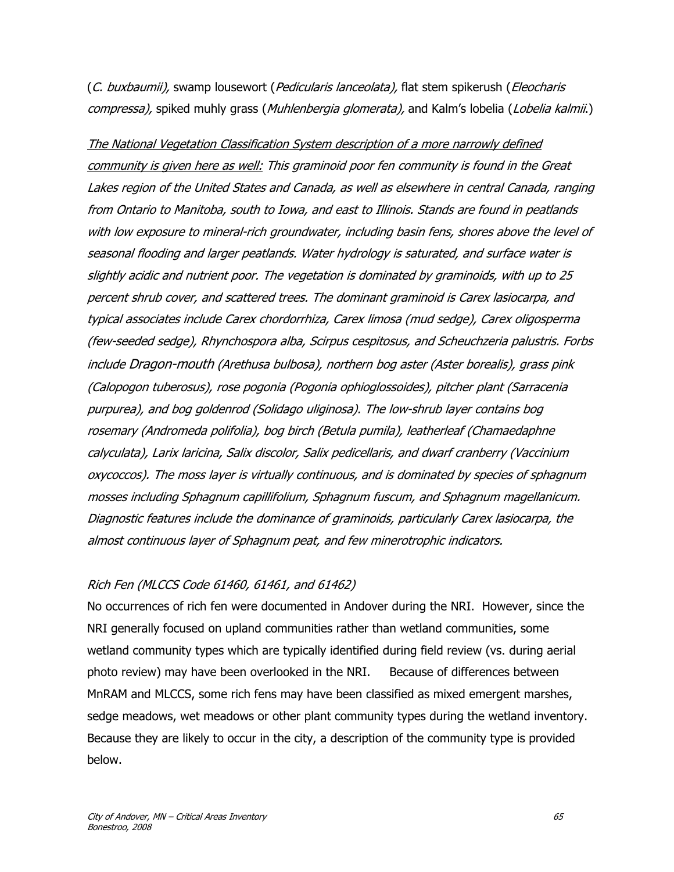(C. buxbaumii), swamp lousewort (Pedicularis lanceolata), flat stem spikerush (Eleocharis compressa), spiked muhly grass (Muhlenbergia glomerata), and Kalm's lobelia (Lobelia kalmii.)

The National Vegetation Classification System description of a more narrowly defined community is given here as well: This graminoid poor fen community is found in the Great Lakes region of the United States and Canada, as well as elsewhere in central Canada, ranging from Ontario to Manitoba, south to Iowa, and east to Illinois. Stands are found in peatlands with low exposure to mineral-rich groundwater, including basin fens, shores above the level of seasonal flooding and larger peatlands. Water hydrology is saturated, and surface water is slightly acidic and nutrient poor. The vegetation is dominated by graminoids, with up to 25 percent shrub cover, and scattered trees. The dominant graminoid is Carex lasiocarpa, and typical associates include Carex chordorrhiza, Carex limosa (mud sedge), Carex oligosperma (few-seeded sedge), Rhynchospora alba, Scirpus cespitosus, and Scheuchzeria palustris. Forbs include Dragon-mouth (Arethusa bulbosa), northern bog aster (Aster borealis), grass pink (Calopogon tuberosus), rose pogonia (Pogonia ophioglossoides), pitcher plant (Sarracenia purpurea), and bog goldenrod (Solidago uliginosa). The low-shrub layer contains bog rosemary (Andromeda polifolia), bog birch (Betula pumila), leatherleaf (Chamaedaphne calyculata), Larix laricina, Salix discolor, Salix pedicellaris, and dwarf cranberry (Vaccinium oxycoccos). The moss layer is virtually continuous, and is dominated by species of sphagnum mosses including Sphagnum capillifolium, Sphagnum fuscum, and Sphagnum magellanicum. Diagnostic features include the dominance of graminoids, particularly Carex lasiocarpa, the almost continuous layer of Sphagnum peat, and few minerotrophic indicators.

### Rich Fen (MLCCS Code 61460, 61461, and 61462)

No occurrences of rich fen were documented in Andover during the NRI. However, since the NRI generally focused on upland communities rather than wetland communities, some wetland community types which are typically identified during field review (vs. during aerial photo review) may have been overlooked in the NRI. Because of differences between MnRAM and MLCCS, some rich fens may have been classified as mixed emergent marshes, sedge meadows, wet meadows or other plant community types during the wetland inventory. Because they are likely to occur in the city, a description of the community type is provided below.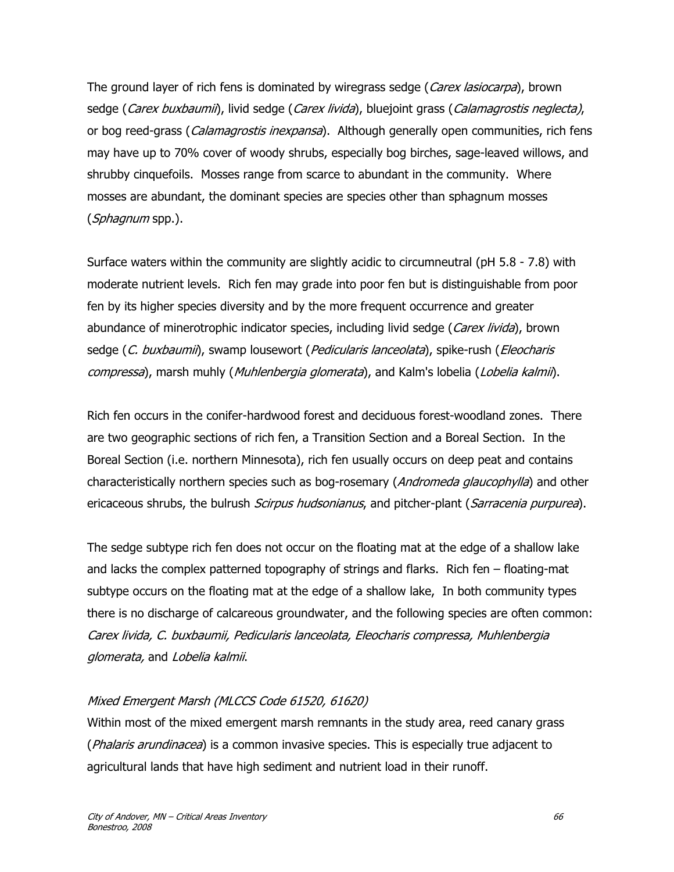The ground layer of rich fens is dominated by wiregrass sedge (Carex lasiocarpa), brown sedge (Carex buxbaumii), livid sedge (Carex livida), bluejoint grass (Calamagrostis neglecta), or bog reed-grass (*Calamagrostis inexpansa*). Although generally open communities, rich fens may have up to 70% cover of woody shrubs, especially bog birches, sage-leaved willows, and shrubby cinquefoils. Mosses range from scarce to abundant in the community. Where mosses are abundant, the dominant species are species other than sphagnum mosses (Sphagnum spp.).

Surface waters within the community are slightly acidic to circumneutral (pH 5.8 - 7.8) with moderate nutrient levels. Rich fen may grade into poor fen but is distinguishable from poor fen by its higher species diversity and by the more frequent occurrence and greater abundance of minerotrophic indicator species, including livid sedge (Carex livida), brown sedge (C. buxbaumii), swamp lousewort (Pedicularis lanceolata), spike-rush (Eleocharis compressa), marsh muhly (*Muhlenbergia glomerata*), and Kalm's lobelia (*Lobelia kalmii*).

Rich fen occurs in the conifer-hardwood forest and deciduous forest-woodland zones. There are two geographic sections of rich fen, a Transition Section and a Boreal Section. In the Boreal Section (i.e. northern Minnesota), rich fen usually occurs on deep peat and contains characteristically northern species such as bog-rosemary (Andromeda glaucophylla) and other ericaceous shrubs, the bulrush *Scirpus hudsonianus*, and pitcher-plant (Sarracenia purpurea).

The sedge subtype rich fen does not occur on the floating mat at the edge of a shallow lake and lacks the complex patterned topography of strings and flarks. Rich fen – floating-mat subtype occurs on the floating mat at the edge of a shallow lake, In both community types there is no discharge of calcareous groundwater, and the following species are often common: Carex livida, C. buxbaumii, Pedicularis lanceolata, Eleocharis compressa, Muhlenbergia glomerata, and Lobelia kalmii.

### Mixed Emergent Marsh (MLCCS Code 61520, 61620)

Within most of the mixed emergent marsh remnants in the study area, reed canary grass (*Phalaris arundinacea*) is a common invasive species. This is especially true adjacent to agricultural lands that have high sediment and nutrient load in their runoff.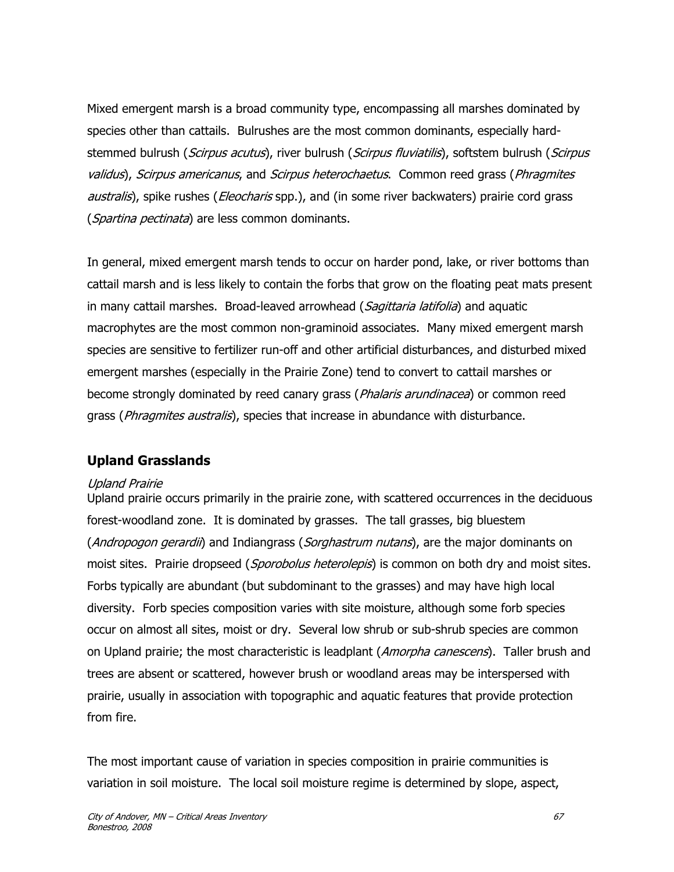Mixed emergent marsh is a broad community type, encompassing all marshes dominated by species other than cattails. Bulrushes are the most common dominants, especially hardstemmed bulrush (Scirpus acutus), river bulrush (Scirpus fluviatilis), softstem bulrush (Scirpus validus), Scirpus americanus, and Scirpus heterochaetus. Common reed grass (Phragmites australis), spike rushes (*Eleocharis* spp.), and (in some river backwaters) prairie cord grass (Spartina pectinata) are less common dominants.

In general, mixed emergent marsh tends to occur on harder pond, lake, or river bottoms than cattail marsh and is less likely to contain the forbs that grow on the floating peat mats present in many cattail marshes. Broad-leaved arrowhead (Sagittaria latifolia) and aquatic macrophytes are the most common non-graminoid associates. Many mixed emergent marsh species are sensitive to fertilizer run-off and other artificial disturbances, and disturbed mixed emergent marshes (especially in the Prairie Zone) tend to convert to cattail marshes or become strongly dominated by reed canary grass (*Phalaris arundinacea*) or common reed grass (*Phragmites australis*), species that increase in abundance with disturbance.

### **Upland Grasslands**

### Upland Prairie

Upland prairie occurs primarily in the prairie zone, with scattered occurrences in the deciduous forest-woodland zone. It is dominated by grasses. The tall grasses, big bluestem (*Andropogon gerardii*) and Indiangrass (*Sorghastrum nutans*), are the major dominants on moist sites. Prairie dropseed (Sporobolus heterolepis) is common on both dry and moist sites. Forbs typically are abundant (but subdominant to the grasses) and may have high local diversity. Forb species composition varies with site moisture, although some forb species occur on almost all sites, moist or dry. Several low shrub or sub-shrub species are common on Upland prairie; the most characteristic is leadplant (Amorpha canescens). Taller brush and trees are absent or scattered, however brush or woodland areas may be interspersed with prairie, usually in association with topographic and aquatic features that provide protection from fire.

The most important cause of variation in species composition in prairie communities is variation in soil moisture. The local soil moisture regime is determined by slope, aspect,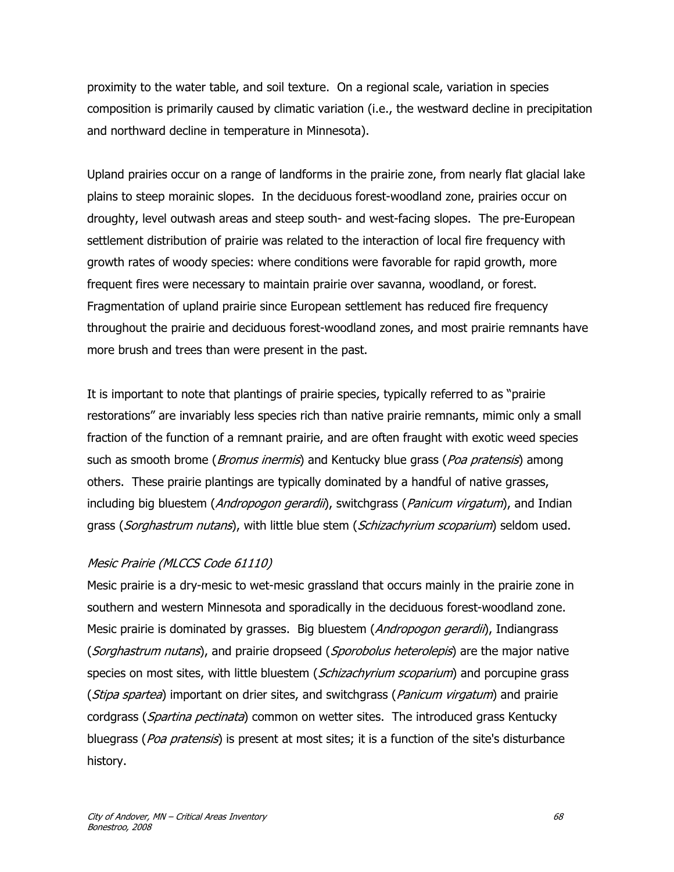proximity to the water table, and soil texture. On a regional scale, variation in species composition is primarily caused by climatic variation (i.e., the westward decline in precipitation and northward decline in temperature in Minnesota).

Upland prairies occur on a range of landforms in the prairie zone, from nearly flat glacial lake plains to steep morainic slopes. In the deciduous forest-woodland zone, prairies occur on droughty, level outwash areas and steep south- and west-facing slopes. The pre-European settlement distribution of prairie was related to the interaction of local fire frequency with growth rates of woody species: where conditions were favorable for rapid growth, more frequent fires were necessary to maintain prairie over savanna, woodland, or forest. Fragmentation of upland prairie since European settlement has reduced fire frequency throughout the prairie and deciduous forest-woodland zones, and most prairie remnants have more brush and trees than were present in the past.

It is important to note that plantings of prairie species, typically referred to as "prairie restorations" are invariably less species rich than native prairie remnants, mimic only a small fraction of the function of a remnant prairie, and are often fraught with exotic weed species such as smooth brome (*Bromus inermis*) and Kentucky blue grass (*Poa pratensis*) among others. These prairie plantings are typically dominated by a handful of native grasses, including big bluestem (Andropogon gerardii), switchgrass (Panicum virgatum), and Indian grass (Sorghastrum nutans), with little blue stem (Schizachyrium scoparium) seldom used.

### Mesic Prairie (MLCCS Code 61110)

Mesic prairie is a dry-mesic to wet-mesic grassland that occurs mainly in the prairie zone in southern and western Minnesota and sporadically in the deciduous forest-woodland zone. Mesic prairie is dominated by grasses. Big bluestem (Andropogon gerardii), Indiangrass (Sorghastrum nutans), and prairie dropseed (Sporobolus heterolepis) are the major native species on most sites, with little bluestem (*Schizachyrium scoparium*) and porcupine grass (*Stipa spartea*) important on drier sites, and switchgrass (*Panicum virgatum*) and prairie cordgrass (Spartina pectinata) common on wetter sites. The introduced grass Kentucky bluegrass (Poa pratensis) is present at most sites; it is a function of the site's disturbance history.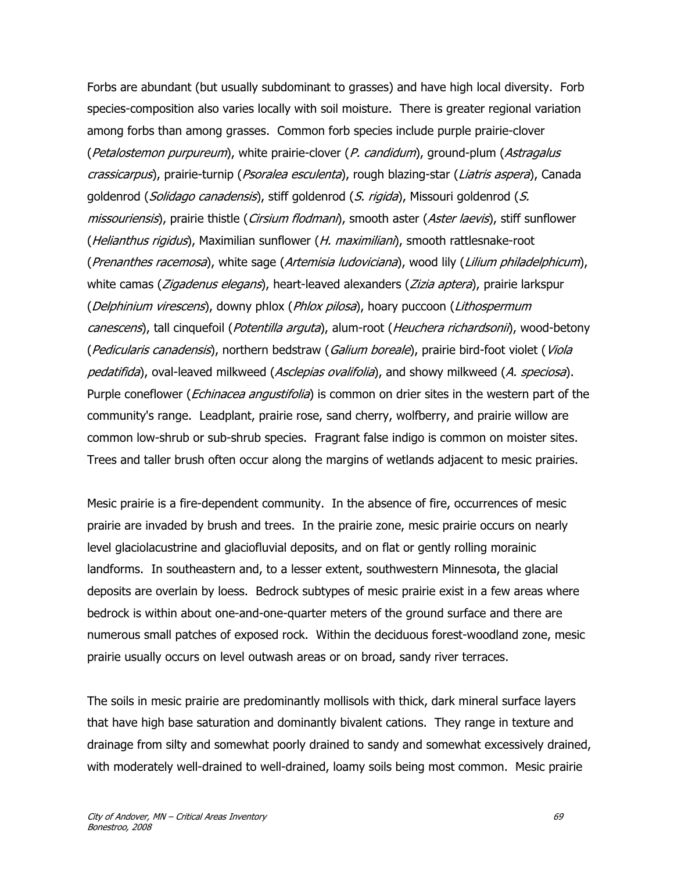Forbs are abundant (but usually subdominant to grasses) and have high local diversity. Forb species-composition also varies locally with soil moisture. There is greater regional variation among forbs than among grasses. Common forb species include purple prairie-clover (Petalostemon purpureum), white prairie-clover (P. candidum), ground-plum (Astragalus crassicarpus), prairie-turnip (Psoralea esculenta), rough blazing-star (Liatris aspera), Canada goldenrod (*Solidago canadensis*), stiff goldenrod (S. rigida), Missouri goldenrod (S. missouriensis), prairie thistle (*Cirsium flodmani*), smooth aster (Aster laevis), stiff sunflower (Helianthus rigidus), Maximilian sunflower (H. maximiliani), smooth rattlesnake-root (Prenanthes racemosa), white sage (Artemisia ludoviciana), wood lily (Lilium philadelphicum), white camas (*Zigadenus elegans*), heart-leaved alexanders (*Zizia aptera*), prairie larkspur (Delphinium virescens), downy phlox (Phlox pilosa), hoary puccoon (Lithospermum canescens), tall cinquefoil (*Potentilla arguta*), alum-root (*Heuchera richardsonii*), wood-betony (Pedicularis canadensis), northern bedstraw (Galium boreale), prairie bird-foot violet (Viola pedatifida), oval-leaved milkweed (Asclepias ovalifolia), and showy milkweed (A. speciosa). Purple coneflower (*Echinacea angustifolia*) is common on drier sites in the western part of the community's range. Leadplant, prairie rose, sand cherry, wolfberry, and prairie willow are common low-shrub or sub-shrub species. Fragrant false indigo is common on moister sites. Trees and taller brush often occur along the margins of wetlands adjacent to mesic prairies.

Mesic prairie is a fire-dependent community. In the absence of fire, occurrences of mesic prairie are invaded by brush and trees. In the prairie zone, mesic prairie occurs on nearly level glaciolacustrine and glaciofluvial deposits, and on flat or gently rolling morainic landforms. In southeastern and, to a lesser extent, southwestern Minnesota, the glacial deposits are overlain by loess. Bedrock subtypes of mesic prairie exist in a few areas where bedrock is within about one-and-one-quarter meters of the ground surface and there are numerous small patches of exposed rock. Within the deciduous forest-woodland zone, mesic prairie usually occurs on level outwash areas or on broad, sandy river terraces.

The soils in mesic prairie are predominantly mollisols with thick, dark mineral surface layers that have high base saturation and dominantly bivalent cations. They range in texture and drainage from silty and somewhat poorly drained to sandy and somewhat excessively drained, with moderately well-drained to well-drained, loamy soils being most common. Mesic prairie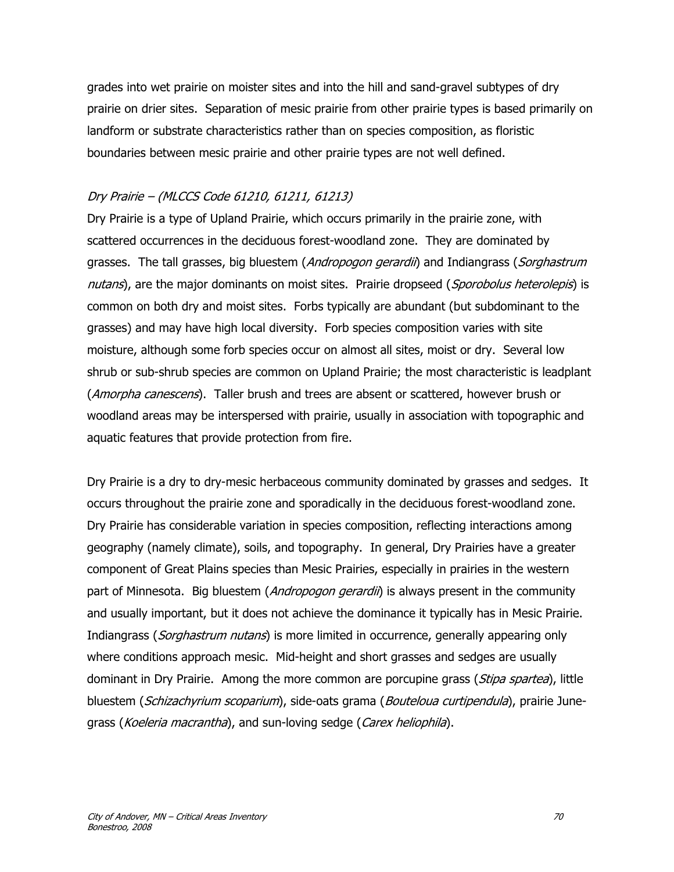grades into wet prairie on moister sites and into the hill and sand-gravel subtypes of dry prairie on drier sites. Separation of mesic prairie from other prairie types is based primarily on landform or substrate characteristics rather than on species composition, as floristic boundaries between mesic prairie and other prairie types are not well defined.

#### Dry Prairie – (MLCCS Code 61210, 61211, 61213)

Dry Prairie is a type of Upland Prairie, which occurs primarily in the prairie zone, with scattered occurrences in the deciduous forest-woodland zone. They are dominated by grasses. The tall grasses, big bluestem (*Andropogon gerardii*) and Indiangrass (*Sorghastrum* nutans), are the major dominants on moist sites. Prairie dropseed (Sporobolus heterolepis) is common on both dry and moist sites. Forbs typically are abundant (but subdominant to the grasses) and may have high local diversity. Forb species composition varies with site moisture, although some forb species occur on almost all sites, moist or dry. Several low shrub or sub-shrub species are common on Upland Prairie; the most characteristic is leadplant (Amorpha canescens). Taller brush and trees are absent or scattered, however brush or woodland areas may be interspersed with prairie, usually in association with topographic and aquatic features that provide protection from fire.

Dry Prairie is a dry to dry-mesic herbaceous community dominated by grasses and sedges. It occurs throughout the prairie zone and sporadically in the deciduous forest-woodland zone. Dry Prairie has considerable variation in species composition, reflecting interactions among geography (namely climate), soils, and topography. In general, Dry Prairies have a greater component of Great Plains species than Mesic Prairies, especially in prairies in the western part of Minnesota. Big bluestem (*Andropogon gerardii*) is always present in the community and usually important, but it does not achieve the dominance it typically has in Mesic Prairie. Indiangrass (Sorghastrum nutans) is more limited in occurrence, generally appearing only where conditions approach mesic. Mid-height and short grasses and sedges are usually dominant in Dry Prairie. Among the more common are porcupine grass (*Stipa spartea*), little bluestem (*Schizachyrium scoparium*), side-oats grama (*Bouteloua curtipendula*), prairie Junegrass (*Koeleria macrantha*), and sun-loving sedge (*Carex heliophila*).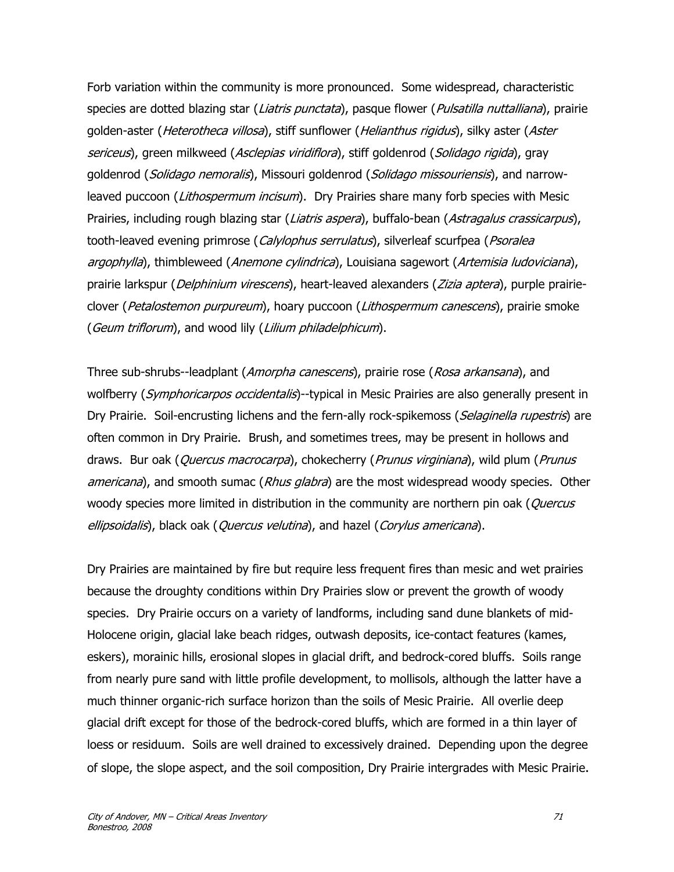Forb variation within the community is more pronounced. Some widespread, characteristic species are dotted blazing star (Liatris punctata), pasque flower (Pulsatilla nuttalliana), prairie golden-aster (*Heterotheca villosa*), stiff sunflower (*Helianthus rigidus*), silky aster (Aster sericeus), green milkweed (Asclepias viridiflora), stiff goldenrod (Solidago rigida), gray goldenrod (Solidago nemoralis), Missouri goldenrod (Solidago missouriensis), and narrowleaved puccoon (Lithospermum incisum). Dry Prairies share many forb species with Mesic Prairies, including rough blazing star (Liatris aspera), buffalo-bean (Astragalus crassicarpus), tooth-leaved evening primrose (Calylophus serrulatus), silverleaf scurfpea (Psoralea argophylla), thimbleweed (Anemone cylindrica), Louisiana sagewort (Artemisia ludoviciana), prairie larkspur (*Delphinium virescens*), heart-leaved alexanders (*Zizia aptera*), purple prairieclover (Petalostemon purpureum), hoary puccoon (Lithospermum canescens), prairie smoke (Geum triflorum), and wood lily (Lilium philadelphicum).

Three sub-shrubs--leadplant (Amorpha canescens), prairie rose (Rosa arkansana), and wolfberry (Symphoricarpos occidentalis)--typical in Mesic Prairies are also generally present in Dry Prairie. Soil-encrusting lichens and the fern-ally rock-spikemoss (*Selaginella rupestris*) are often common in Dry Prairie. Brush, and sometimes trees, may be present in hollows and draws. Bur oak (Quercus macrocarpa), chokecherry (Prunus virginiana), wild plum (Prunus americana), and smooth sumac (Rhus glabra) are the most widespread woody species. Other woody species more limited in distribution in the community are northern pin oak (*Quercus* ellipsoidalis), black oak (Quercus velutina), and hazel (Corylus americana).

Dry Prairies are maintained by fire but require less frequent fires than mesic and wet prairies because the droughty conditions within Dry Prairies slow or prevent the growth of woody species. Dry Prairie occurs on a variety of landforms, including sand dune blankets of mid-Holocene origin, glacial lake beach ridges, outwash deposits, ice-contact features (kames, eskers), morainic hills, erosional slopes in glacial drift, and bedrock-cored bluffs. Soils range from nearly pure sand with little profile development, to mollisols, although the latter have a much thinner organic-rich surface horizon than the soils of Mesic Prairie. All overlie deep glacial drift except for those of the bedrock-cored bluffs, which are formed in a thin layer of loess or residuum. Soils are well drained to excessively drained. Depending upon the degree of slope, the slope aspect, and the soil composition, Dry Prairie intergrades with Mesic Prairie.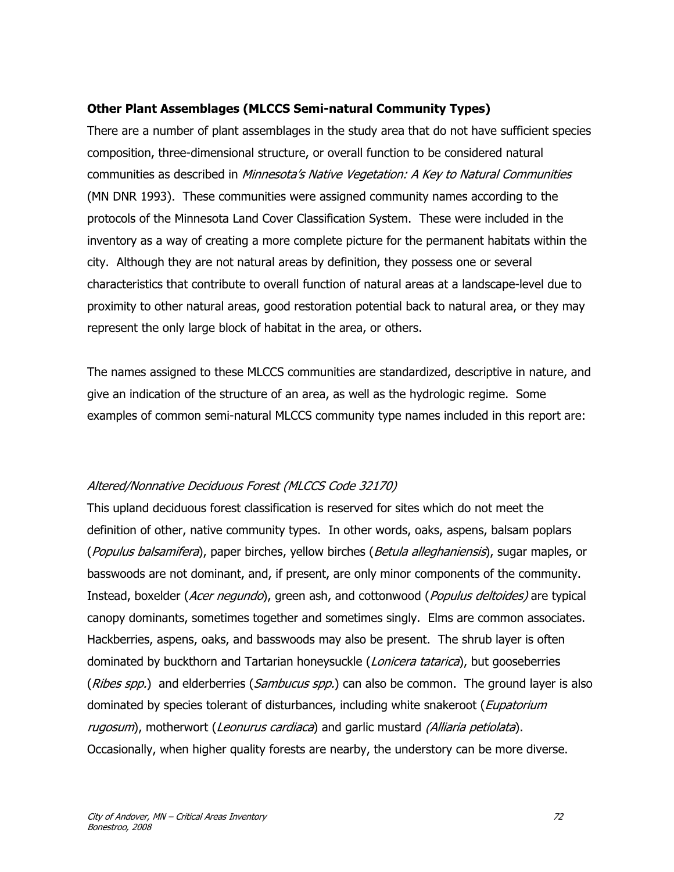### **Other Plant Assemblages (MLCCS Semi-natural Community Types)**

There are a number of plant assemblages in the study area that do not have sufficient species composition, three-dimensional structure, or overall function to be considered natural communities as described in Minnesota's Native Vegetation: A Key to Natural Communities (MN DNR 1993). These communities were assigned community names according to the protocols of the Minnesota Land Cover Classification System. These were included in the inventory as a way of creating a more complete picture for the permanent habitats within the city. Although they are not natural areas by definition, they possess one or several characteristics that contribute to overall function of natural areas at a landscape-level due to proximity to other natural areas, good restoration potential back to natural area, or they may represent the only large block of habitat in the area, or others.

The names assigned to these MLCCS communities are standardized, descriptive in nature, and give an indication of the structure of an area, as well as the hydrologic regime. Some examples of common semi-natural MLCCS community type names included in this report are:

### Altered/Nonnative Deciduous Forest (MLCCS Code 32170)

This upland deciduous forest classification is reserved for sites which do not meet the definition of other, native community types. In other words, oaks, aspens, balsam poplars (Populus balsamifera), paper birches, yellow birches (Betula alleghaniensis), sugar maples, or basswoods are not dominant, and, if present, are only minor components of the community. Instead, boxelder (Acer negundo), green ash, and cottonwood (Populus deltoides) are typical canopy dominants, sometimes together and sometimes singly. Elms are common associates. Hackberries, aspens, oaks, and basswoods may also be present. The shrub layer is often dominated by buckthorn and Tartarian honeysuckle (*Lonicera tatarica*), but gooseberries (Ribes spp.) and elderberries (Sambucus spp.) can also be common. The ground layer is also dominated by species tolerant of disturbances, including white snakeroot (Eupatorium rugosum), motherwort (Leonurus cardiaca) and garlic mustard (Alliaria petiolata). Occasionally, when higher quality forests are nearby, the understory can be more diverse.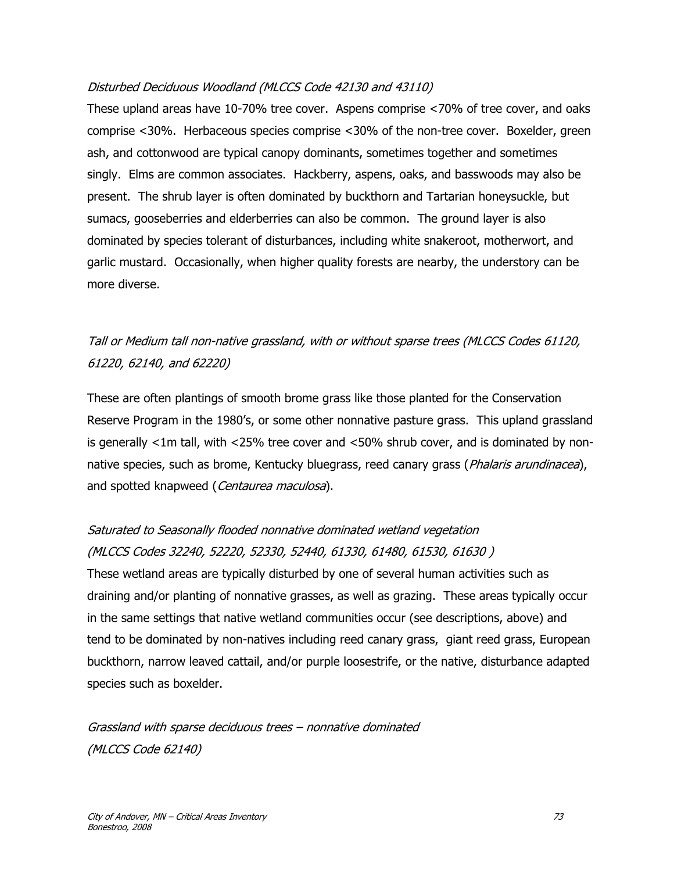### Disturbed Deciduous Woodland (MLCCS Code 42130 and 43110)

These upland areas have 10-70% tree cover. Aspens comprise <70% of tree cover, and oaks comprise <30%. Herbaceous species comprise <30% of the non-tree cover. Boxelder, green ash, and cottonwood are typical canopy dominants, sometimes together and sometimes singly. Elms are common associates. Hackberry, aspens, oaks, and basswoods may also be present. The shrub layer is often dominated by buckthorn and Tartarian honeysuckle, but sumacs, gooseberries and elderberries can also be common. The ground layer is also dominated by species tolerant of disturbances, including white snakeroot, motherwort, and garlic mustard. Occasionally, when higher quality forests are nearby, the understory can be more diverse.

## Tall or Medium tall non-native grassland, with or without sparse trees (MLCCS Codes 61120, 61220, 62140, and 62220)

These are often plantings of smooth brome grass like those planted for the Conservation Reserve Program in the 1980's, or some other nonnative pasture grass. This upland grassland is generally <1m tall, with <25% tree cover and <50% shrub cover, and is dominated by nonnative species, such as brome, Kentucky bluegrass, reed canary grass (*Phalaris arundinacea*), and spotted knapweed (Centaurea maculosa).

# Saturated to Seasonally flooded nonnative dominated wetland vegetation (MLCCS Codes 32240, 52220, 52330, 52440, 61330, 61480, 61530, 61630 )

These wetland areas are typically disturbed by one of several human activities such as draining and/or planting of nonnative grasses, as well as grazing. These areas typically occur in the same settings that native wetland communities occur (see descriptions, above) and tend to be dominated by non-natives including reed canary grass, giant reed grass, European buckthorn, narrow leaved cattail, and/or purple loosestrife, or the native, disturbance adapted species such as boxelder.

Grassland with sparse deciduous trees – nonnative dominated (MLCCS Code 62140)